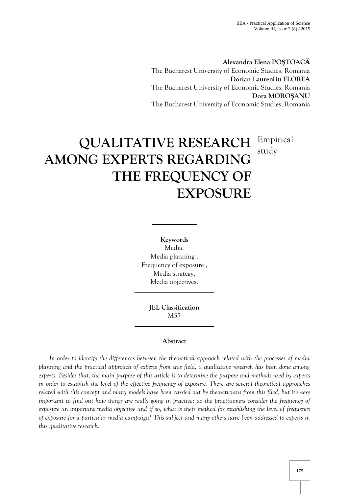**Alexandra Elena PO TOAC** The Bucharest University of Economic Studies, Romania **Dorian Lauren iu FLOREA** The Bucharest University of Economic Studies, Romania **Dora MORO ANU** The Bucharest University of Economic Studies, Romania

# **QUALITATIVE RESEARCH** Empirical **AMONG EXPERTS REGARDING THE FREQUENCY OF EXPOSURE** study

**Keywords** Media, Media planning , Frequency of exposure , Media strategy, Media objectives.

> **JEL Classification** M37

# **Abstract**

*In order to identify the differences between the theoretical approach related with the processes of media planning and the practical approach of experts from this field, a qualitative research has been done among experts. Besides that, the main purpose of this article is to determine the purpose and methods used by experts in order to establish the level of the effective frequency of exposure. There are several theoretical approaches related with this concept and many models have been carried out by theoreticians from this filed, but it's very important to find out how things are really going in practice: do the practitioners consider the frequency of exposure an important media objective and if so, what is their method for establishing the level of frequency of exposure for a particular media campaign? This subject and many others have been addressed to experts in this qualitative research.*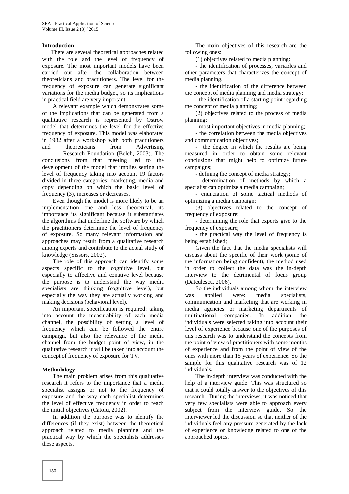## **Introduction**

There are several theoretical approaches related with the role and the level of frequency of exposure. The most important models have been carried out after the collaboration between theoreticians and practitioners. The level for the frequency of exposure can generate significant variations for the media budget, so its implications in practical field are very important.

A relevant example which demonstrates some of the implications that can be generated from a qualitative research is represented by Ostrow model that determines the level for the effective frequency of exposure. This model was elaborated in 1982 after a workshop with both practitioners and theoreticians from Advertising Research Foundation (Belch, 2003). The conclusions from that meeting led to the development of the model that implies setting the level of frequency taking into account 19 factors

divided in three categories: marketing, media and copy depending on which the basic level of frequency (3), increases or decreases.

Even though the model is more likely to be an implementation one and less theoretical, its importance its significant because it substantiates the algorithms that underline the software by which the practitioners determine the level of frequency of exposure. So many relevant information and approaches may result from a qualitative research among experts and contribute to the actual study of knowledge (Sissors, 2002).

The role of this approach can identify some aspects specific to the cognitive level, but especially to affective and conative level because the purpose is to understand the way media specialists are thinking (cognitive level), but especially the way they are actually working and making decisions (behavioral level).

An important specification is required: taking into account the measurability of each media channel, the possibility of setting a level of frequency which can be followed the entire campaign, but also the relevance of the media channel from the budget point of view, in the qualitative research it will be taken into account the concept of frequency of exposure for TV.

#### **Methodology**

The main problem arises from this qualitative research it refers to the importance that a media specialist assigns or not to the frequency of exposure and the way each specialist determines the level of effective frequency in order to reach the initial objectives (Catoiu, 2002).

In addition the purpose was to identify the differences (if they exist) between the theoretical approach related to media planning and the practical way by which the specialists addresses these aspects.

The main objectives of this research are the following ones:

(1) objectives related to media planning:

- the identification of processes, variables and other parameters that characterizes the concept of media planning.

- the identification of the difference between the concept of media planning and media strategy;

- the identification of a starting point regarding the concept of media planning;

(2) objectives related to the process of media planning:

- most important objectives in media planning;

- the correlation between the media objectives and communication objectives;

- the degree in which the results are being measured in order to obtain some relevant conclusions that might help to optimize future campaigns;

- defining the concept of media strategy;

- determination of methods by which a specialist can optimize a media campaign;

- enunciation of some tactical methods of optimizing a media campaign;

(3) objectives related to the concept of frequency of exposure:

- determining the role that experts give to the frequency of exposure;

- the practical way the level of frequency is being established;

Given the fact that the media specialists will discuss about the specific of their work (some of the information being confident), the method used in order to collect the data was the in-depth interview to the detrimental of focus group (Datculescu, 2006).

So the individuals among whom the interview applied were: media specialists, communication and marketing that are working in media agencies or marketing departments of multinational companies. In addition the individuals were selected taking into account their level of experience because one of the purposes of this research was to understand the concepts from the point of view of practitioners with some months of experience and from the point of view of the ones with more than 15 years of experience. So the sample for this qualitative research was of 12 individuals.

The in-depth interview was conducted with the help of a interview guide. This was structured so that it could totally answer to the objectives of this research. During the interviews, it was noticed that very few specialists were able to approach every subject from the interview guide. So the interviewer led the discussion so that neither of the individuals feel any pressure generated by the lack of experience or knowledge related to one of the approached topics.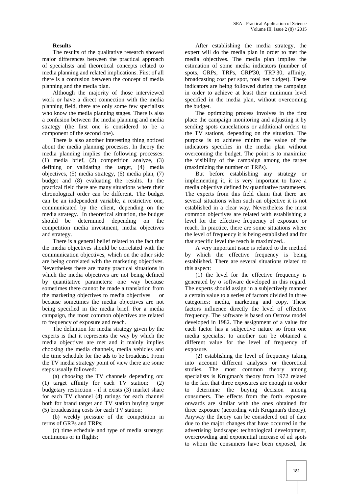# **Results**

The results of the qualitative research showed major differences between the practical approach of specialists and theoretical concepts related to media planning and related implications. First of all there is a confusion between the concept of media planning and the media plan.

Although the majority of those interviewed work or have a direct connection with the media planning field, there are only some few specialists who know the media planning stages. There is also a confusion between the media planning and media strategy (the first one is considered to be a component of the second one).

There is also another interesting thing noticed about the media planning processes. In theory the media planning implies the following processes: (1) media brief, (2) competition analyze, (3) defining or validating the target, (4) media objectives, (5) media strategy, (6) media plan, (7) budget and (8) evaluating the results. In the practical field there are many situations where their chronological order can be different. The budget can be an independent variable, a restrictive one, communicated by the client, depending on the media strategy. In theoretical situation, the budget should be determined depending on the competition media investment, media objectives and strategy.

There is a general belief related to the fact that the media objectives should be correlated with the communication objectives, which on the other side are being correlated with the marketing objectives. Nevertheless there are many practical situations in which the media objectives are not being defined by quantitative parameters: one way because sometimes there cannot be made a translation from the marketing objectives to media objectives or because sometimes the media objectives are not being specified in the media brief. For a media campaign, the most common objectives are related to frequency of exposure and reach.

The definition for media strategy given by the experts is that it represents the way by which the media objectives are met and it mainly implies choosing the media channels, media vehicles and the time schedule for the ads to be broadcast. From the TV media strategy point of view there are some steps usually followed:

(a) choosing the TV channels depending on: (1) target affinity for each TV station; (2) budgetary restriction - if it exists (3) market share for each TV channel (4) ratings for each channel both for brand target and TV station buying target (5) broadcasting costs for each TV station;

(b) weekly pressure of the competition in terms of GRPs and TRPs;

(c) time schedule and type of media strategy: continuous or in flights;

After establishing the media strategy, the expert will do the media plan in order to met the media objectives. The media plan implies the estimation of some media indicators (number of spots, GRPs, TRPs, GRP'30, TRP'30, affinity, broadcasting cost per spot, total net budget). These indicators are being followed during the campaign in order to achieve at least their minimum level specified in the media plan, without overcoming the budget.

The optimizing process involves in the first place the campaign monitoring and adjusting it by sending spots cancelations or additional orders to the TV stations, depending on the situation. The purpose is to achieve minim the value of the indicators specifies in the media plan without overcoming the budget. The point is to maximize the visibility of the campaign among the target (maximizing the number of TRPs).

But before establishing any strategy or implementing it, it is very important to have a media objective defined by quantitative parameters. The experts from this field claim that there are several situations when such an objective it is not established in a clear way. Nevertheless the most common objectives are related with establishing a level for the effective frequency of exposure or reach. In practice, there are some situations where the level of frequency it is being established and for that specific level the reach is maximized..

A very important issue is related to the method by which the effective frequency is being established. There are several situations related to this aspect:

(1) the level for the effective frequency is generated by o software developed in this regard. The experts should assign in a subjectively manner a certain value to a series of factors divided in three categories: media, marketing and copy. These factors influence directly the level of effective frequency. The software is based on Ostrow model developed in 1982. The assignment of a value for each factor has a subjective nature so from one media specialist to another can be obtained a different value for the level of frequency of exposure.

(2) establishing the level of frequency taking into account different analyses or theoretical studies. The most common theory among specialists is Krugman's theory from 1972 related to the fact that three exposures are enough in order to determine the buying decision among consumers. The effects from the forth exposure onwards are similar with the ones obtained for three exposure (according with Krugman's theory). Anyway the theory can be considered out of date due to the major changes that have occurred in the advertising landscape: technological development, overcrowding and exponential increase of ad spots to whom the consumers have been exposed, the